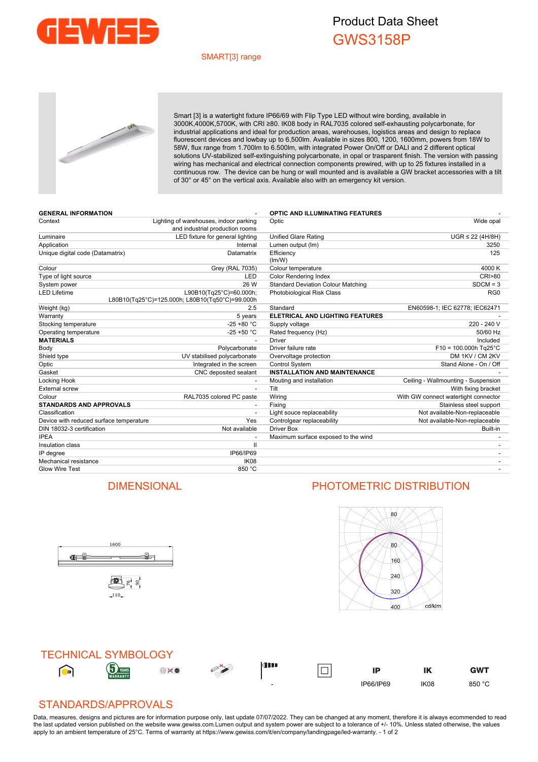

## Product Data Sheet GWS3158P

#### SMART[3] range



Smart [3] is a watertight fixture IP66/69 with Flip Type LED without wire bording, available in 3000K,4000K,5700K, with CRI ≥80. IK08 body in RAL7035 colored self-exhausting polycarbonate, for industrial applications and ideal for production areas, warehouses, logistics areas and design to replace fluorescent devices and lowbay up to 6,500lm. Available in sizes 800, 1200, 1600mm, powers from 18W to 58W, flux range from 1.700lm to 6.500lm, with integrated Power On/Off or DALI and 2 different optical solutions UV-stabilized self-extinguishing polycarbonate, in opal or trasparent finish. The version with passing wiring has mechanical and electrical connection components prewired, with up to 25 fixtures installed in a continuous row. The device can be hung or wall mounted and is available a GW bracket accessories with a tilt of 30° or 45° on the vertical axis. Available also with an emergency kit version.

| <b>GENERAL INFORMATION</b>              |                                                                            | <b>OPTIC AND ILLUMINATING FEATURES</b>    |                                      |
|-----------------------------------------|----------------------------------------------------------------------------|-------------------------------------------|--------------------------------------|
| Context                                 | Lighting of warehouses, indoor parking<br>and industrial production rooms  | Optic                                     | Wide opal                            |
| Luminaire                               | LED fixture for general lighting                                           | <b>Unified Glare Rating</b>               | $UGR \leq 22$ (4H/8H)                |
| Application                             | Internal                                                                   | Lumen output (Im)                         | 3250                                 |
| Unique digital code (Datamatrix)        | Datamatrix                                                                 | Efficiency<br>(lm/W)                      | 125                                  |
| Colour                                  | <b>Grey (RAL 7035)</b>                                                     | Colour temperature                        | 4000 K                               |
| Type of light source                    | LED                                                                        | <b>Color Rendering Index</b>              | <b>CRI&gt;80</b>                     |
| System power                            | 26 W                                                                       | <b>Standard Deviation Colour Matching</b> | $SDCM = 3$                           |
| <b>LED Lifetime</b>                     | L90B10(Tg25°C)=60.000h;<br>L80B10(Tg25°C)=125.000h; L80B10(Tg50°C)=99.000h | Photobiological Risk Class                | RG <sub>0</sub>                      |
| Weight (kg)                             | 2.5                                                                        | Standard                                  | EN60598-1; IEC 62778; IEC62471       |
| Warranty                                | 5 years                                                                    | ELETRICAL AND LIGHTING FEATURES           |                                      |
| Stocking temperature                    | $-25 + 80 °C$                                                              | Supply voltage                            | 220 - 240 V                          |
| Operating temperature                   | $-25 + 50 °C$                                                              | Rated frequency (Hz)                      | 50/60 Hz                             |
| <b>MATERIALS</b>                        |                                                                            | <b>Driver</b>                             | Included                             |
| Body                                    | Polycarbonate                                                              | Driver failure rate                       | $F10 = 100.000h$ Tg25°C              |
| Shield type                             | UV stabilised polycarbonate                                                | Overvoltage protection                    | DM 1KV / CM 2KV                      |
| Optic                                   | Integrated in the screen                                                   | Control System                            | Stand Alone - On / Off               |
| Gasket                                  | CNC deposited sealant                                                      | <b>INSTALLATION AND MAINTENANCE</b>       |                                      |
| Locking Hook                            |                                                                            | Mouting and installation                  | Ceiling - Wallmounting - Suspension  |
| <b>External screw</b>                   | $\overline{a}$                                                             | Tilt                                      | With fixing bracket                  |
| Colour                                  | RAL7035 colored PC paste                                                   | Wiring                                    | With GW connect watertight connector |
| <b>STANDARDS AND APPROVALS</b>          |                                                                            | Fixing                                    | Stainless steel support              |
| Classification                          |                                                                            | Light souce replaceability                | Not available-Non-replaceable        |
| Device with reduced surface temperature | Yes                                                                        | Controlgear replaceability                | Not available-Non-replaceable        |
| DIN 18032-3 certification               | Not available                                                              | <b>Driver Box</b>                         | Built-in                             |
| <b>IPEA</b>                             |                                                                            | Maximum surface exposed to the wind       |                                      |
| Insulation class                        | Ш                                                                          |                                           |                                      |
| IP degree                               | IP66/IP69                                                                  |                                           |                                      |
| Mechanical resistance                   | <b>IK08</b>                                                                |                                           |                                      |
| <b>Glow Wire Test</b>                   | 850 °C                                                                     |                                           |                                      |

### DIMENSIONAL PHOTOMETRIC DISTRIBUTION

\$,

1600

雪片。

**General** 





### STANDARDS/APPROVALS

Data, measures, designs and pictures are for information purpose only, last update 07/07/2022. They can be changed at any moment, therefore it is always ecommended to read the last updated version published on the website www.gewiss.com.Lumen output and system power are subject to a tolerance of +/- 10%. Unless stated otherwise, the values apply to an ambient temperature of 25°C. Terms of warranty at https://www.gewiss.com/it/en/company/landingpage/led-warranty. - 1 of 2